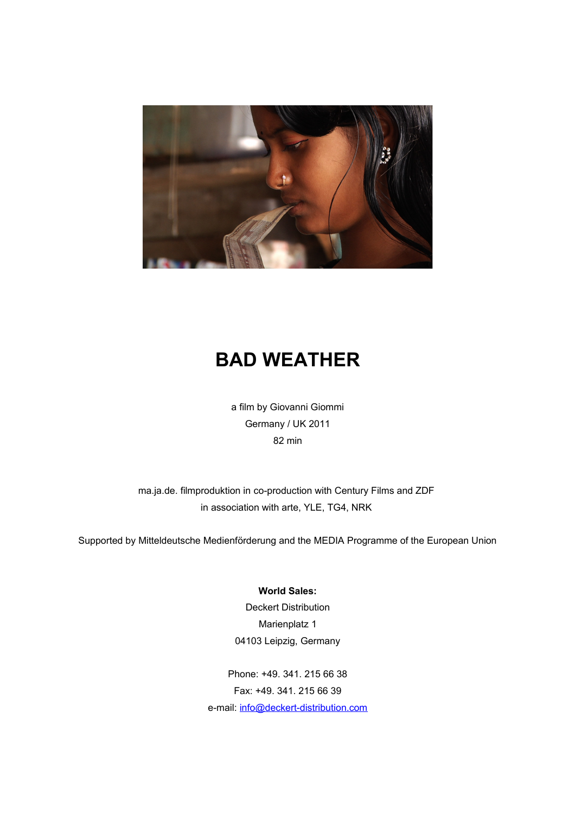

## **BAD WEATHER**

a film by Giovanni Giommi Germany / UK 2011 82 min

ma.ja.de. filmproduktion in co-production with Century Films and ZDF in association with arte, YLE, TG4, NRK

Supported by Mitteldeutsche Medienförderung and the MEDIA Programme of the European Union

## **World Sales:**

Deckert Distribution Marienplatz 1 04103 Leipzig, Germany

Phone: +49. 341. 215 66 38 Fax: +49. 341. 215 66 39 e-mail: [info@deckert-distribution.com](mailto:info@deckert-distribution.com)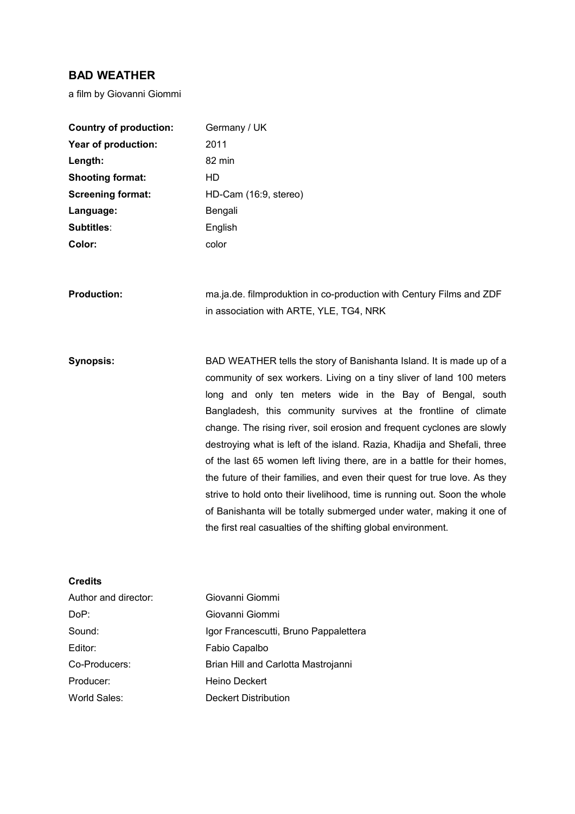## **BAD WEATHER**

a film by Giovanni Giommi

| <b>Country of production:</b> | Germany / UK                                                              |
|-------------------------------|---------------------------------------------------------------------------|
| Year of production:           | 2011                                                                      |
| Length:                       | 82 min                                                                    |
| <b>Shooting format:</b>       | HD                                                                        |
| <b>Screening format:</b>      | HD-Cam (16:9, stereo)                                                     |
| Language:                     | Bengali                                                                   |
| Subtitles:                    | English                                                                   |
| Color:                        | color                                                                     |
|                               |                                                                           |
| <b>Production:</b>            | ma.ja.de. filmproduktion in co-production with Century Films and ZDF      |
|                               | in association with ARTE, YLE, TG4, NRK                                   |
|                               |                                                                           |
|                               |                                                                           |
| <b>Synopsis:</b>              | BAD WEATHER tells the story of Banishanta Island. It is made up of a      |
|                               | community of sex workers. Living on a tiny sliver of land 100 meters      |
|                               | long and only ten meters wide in the Bay of Bengal, south                 |
|                               | Bangladesh, this community survives at the frontline of climate           |
|                               | change. The rising river, soil erosion and frequent cyclones are slowly   |
|                               | destroying what is left of the island. Razia, Khadija and Shefali, three  |
|                               | of the last 65 women left living there, are in a battle for their homes,  |
|                               | the future of their families, and even their quest for true love. As they |
|                               | strive to hold onto their livelihood, time is running out. Soon the whole |
|                               | of Banishanta will be totally submerged under water, making it one of     |
|                               | the first real casualties of the shifting global environment.             |
|                               |                                                                           |
|                               |                                                                           |

| Author and director: | Giovanni Giommi                       |
|----------------------|---------------------------------------|
| DoP:                 | Giovanni Giommi                       |
| Sound:               | Igor Francescutti, Bruno Pappalettera |
| Editor:              | Fabio Capalbo                         |
| Co-Producers:        | Brian Hill and Carlotta Mastrojanni   |
| Producer:            | Heino Deckert                         |
| World Sales:         | Deckert Distribution                  |